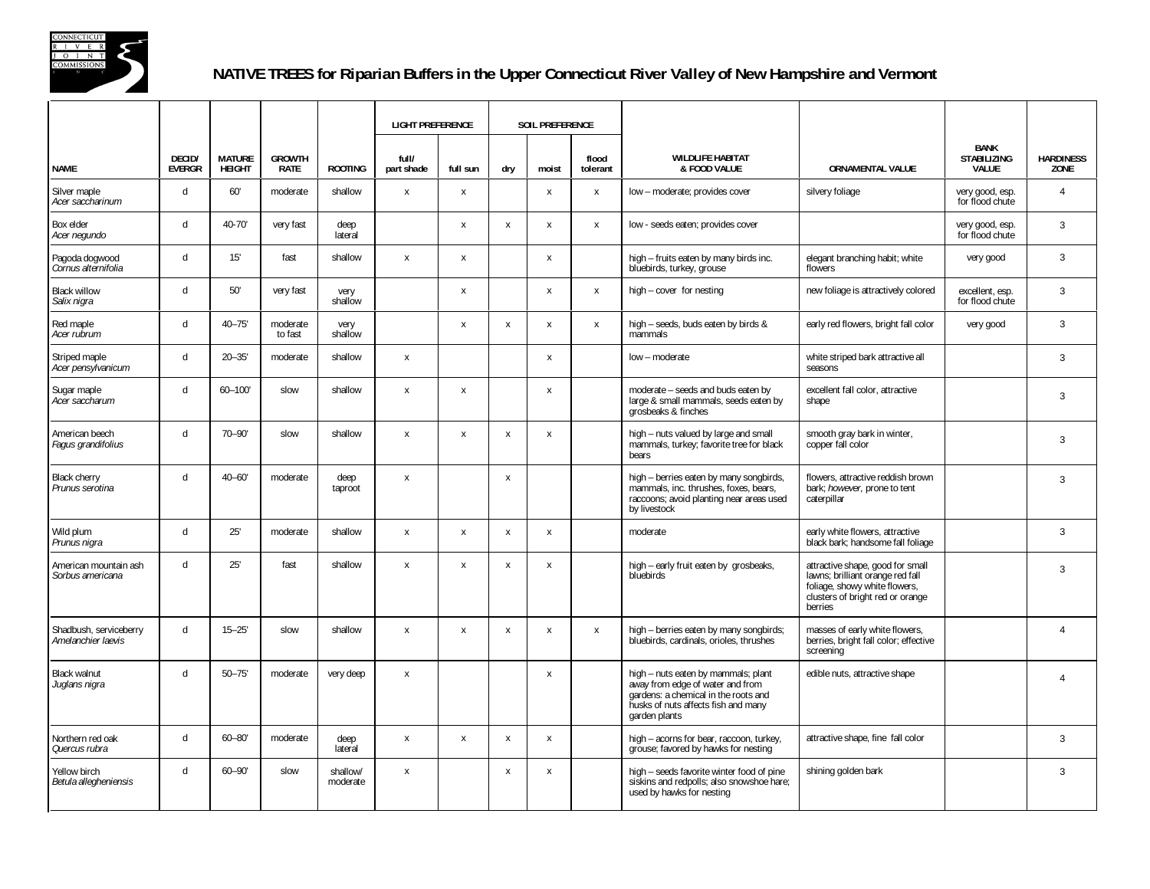

## **NATIVE TREES for Riparian Buffers in the Upper Connecticut River Valley of New Hampshire and Vermont**

|                                              |                         |                                |                              |                      |                           | <b>LIGHT PREFERENCE</b>   |                           | <b>SOIL PREFERENCE</b>    |                   |                                                                                                                                                                         |                                                                                                                                                      |                                            |                          |
|----------------------------------------------|-------------------------|--------------------------------|------------------------------|----------------------|---------------------------|---------------------------|---------------------------|---------------------------|-------------------|-------------------------------------------------------------------------------------------------------------------------------------------------------------------------|------------------------------------------------------------------------------------------------------------------------------------------------------|--------------------------------------------|--------------------------|
| <b>NAME</b>                                  | DECID/<br><b>EVERGR</b> | <b>MATURE</b><br><b>HEIGHT</b> | <b>GROWTH</b><br><b>RATE</b> | <b>ROOTING</b>       | full/<br>part shade       | full sun                  | dry                       | moist                     | flood<br>tolerant | <b>WILDLIFE HABITAT</b><br>& FOOD VALUE                                                                                                                                 | <b>ORNAMENTAL VALUE</b>                                                                                                                              | BANK<br><b>STABILIZING</b><br><b>VALUE</b> | <b>HARDINESS</b><br>ZONE |
| Silver maple<br>Acer saccharinum             | $\mathsf{d}$            | 60'                            | moderate                     | shallow              | $\pmb{\chi}$              | $\boldsymbol{\mathsf{x}}$ |                           | $\boldsymbol{\mathsf{x}}$ | $\pmb{\chi}$      | low - moderate; provides cover                                                                                                                                          | silvery foliage                                                                                                                                      | very good, esp.<br>for flood chute         | $\overline{4}$           |
| Box elder<br>Acer negundo                    | d                       | $40 - 70'$                     | very fast                    | deep<br>lateral      |                           | $\pmb{\chi}$              | X                         | $\boldsymbol{\mathsf{x}}$ | $\pmb{\chi}$      | low - seeds eaten; provides cover                                                                                                                                       |                                                                                                                                                      | very good, esp.<br>for flood chute         | $\mathbf{3}$             |
| Pagoda dogwood<br>Cornus alternifolia        | $\mathsf{d}$            | 15'                            | fast                         | shallow              | $\pmb{\chi}$              | $\boldsymbol{\mathsf{x}}$ |                           | $\boldsymbol{\mathsf{X}}$ |                   | high - fruits eaten by many birds inc.<br>bluebirds, turkey, grouse                                                                                                     | elegant branching habit; white<br>flowers                                                                                                            | very good                                  | 3                        |
| <b>Black willow</b><br>Salix nigra           | $\mathsf{d}$            | 50'                            | very fast                    | very<br>shallow      |                           | $\pmb{\chi}$              |                           | X                         | $\pmb{\chi}$      | high - cover for nesting                                                                                                                                                | new foliage is attractively colored                                                                                                                  | excellent, esp.<br>for flood chute         | $\mathbf{3}$             |
| Red maple<br>Acer rubrum                     | $\mathsf{d}$            | $40 - 75'$                     | moderate<br>to fast          | very<br>shallow      |                           | $\pmb{\chi}$              | $\boldsymbol{\mathsf{x}}$ | $\boldsymbol{\mathsf{X}}$ | $\pmb{\chi}$      | high - seeds, buds eaten by birds &<br>mammals                                                                                                                          | early red flowers, bright fall color                                                                                                                 | very good                                  | 3                        |
| Striped maple<br>Acer pensylvanicum          | $\mathsf{d}$            | $20 - 35'$                     | moderate                     | shallow              | $\pmb{\chi}$              |                           |                           | $\boldsymbol{\mathsf{x}}$ |                   | low - moderate                                                                                                                                                          | white striped bark attractive all<br>seasons                                                                                                         |                                            | $\mathbf{3}$             |
| Sugar maple<br>Acer saccharum                | $\mathsf{d}$            | $60 - 100'$                    | slow                         | shallow              | $\boldsymbol{\mathsf{x}}$ | $\boldsymbol{\mathsf{x}}$ |                           | $\boldsymbol{\mathsf{x}}$ |                   | moderate - seeds and buds eaten by<br>large & small mammals, seeds eaten by<br>grosbeaks & finches                                                                      | excellent fall color, attractive<br>shape                                                                                                            |                                            | 3                        |
| American beech<br>Fagus grandifolius         | d                       | $70 - 90'$                     | slow                         | shallow              | $\boldsymbol{\mathsf{x}}$ | $\boldsymbol{\mathsf{x}}$ | X                         | $\boldsymbol{\mathsf{x}}$ |                   | high - nuts valued by large and small<br>mammals, turkey; favorite tree for black<br>bears                                                                              | smooth gray bark in winter,<br>copper fall color                                                                                                     |                                            | 3                        |
| <b>Black cherry</b><br>Prunus serotina       | $\mathsf{d}$            | $40 - 60'$                     | moderate                     | deep<br>taproot      | $\pmb{\chi}$              |                           | $\boldsymbol{\mathsf{x}}$ |                           |                   | high - berries eaten by many songbirds,<br>mammals, inc. thrushes, foxes, bears,<br>raccoons; avoid planting near areas used<br>by livestock                            | flowers, attractive reddish brown<br>bark; however, prone to tent<br>caterpillar                                                                     |                                            | 3                        |
| Wild plum<br>Prunus nigra                    | $\mathsf{d}$            | 25'                            | moderate                     | shallow              | $\boldsymbol{\mathsf{x}}$ | $\boldsymbol{\mathsf{x}}$ | $\mathbf{x}$              | $\mathsf{x}$              |                   | moderate                                                                                                                                                                | early white flowers, attractive<br>black bark; handsome fall foliage                                                                                 |                                            | $\overline{3}$           |
| American mountain ash<br>Sorbus americana    | d                       | 25'                            | fast                         | shallow              | $\boldsymbol{\mathsf{x}}$ | X                         | $\mathbf{x}$              | $\boldsymbol{\mathsf{x}}$ |                   | high - early fruit eaten by grosbeaks,<br>bluebirds                                                                                                                     | attractive shape, good for small<br>lawns; brilliant orange red fall<br>foliage, showy white flowers,<br>clusters of bright red or orange<br>berries |                                            | 3                        |
| Shadbush, serviceberry<br>Amelanchier laevis | $\mathsf{d}$            | $15 - 25'$                     | slow                         | shallow              | $\,$ X                    | $\,$ X                    | $\boldsymbol{\mathsf{x}}$ | $\boldsymbol{\mathsf{x}}$ | $\pmb{\chi}$      | high - berries eaten by many songbirds;<br>bluebirds, cardinals, orioles, thrushes                                                                                      | masses of early white flowers,<br>berries, bright fall color; effective<br>screening                                                                 |                                            | $\overline{4}$           |
| <b>Black walnut</b><br>Juglans nigra         | $\mathsf{d}$            | $50 - 75'$                     | moderate                     | very deep            | $\boldsymbol{\mathsf{x}}$ |                           |                           | X                         |                   | high - nuts eaten by mammals; plant<br>away from edge of water and from<br>gardens: a chemical in the roots and<br>husks of nuts affects fish and many<br>garden plants | edible nuts, attractive shape                                                                                                                        |                                            | $\overline{4}$           |
| Northern red oak<br>Quercus rubra            | $\mathsf{d}$            | $60 - 80'$                     | moderate                     | deep<br>lateral      | $\boldsymbol{\mathsf{x}}$ | $\mathsf{x}$              | $\boldsymbol{\mathsf{x}}$ | $\boldsymbol{\mathsf{x}}$ |                   | high - acorns for bear, raccoon, turkey,<br>grouse; favored by hawks for nesting                                                                                        | attractive shape, fine fall color                                                                                                                    |                                            | 3                        |
| Yellow birch<br>Betula allegheniensis        | d                       | $60 - 90'$                     | slow                         | shallow/<br>moderate | $\boldsymbol{\mathsf{x}}$ |                           | X                         | X                         |                   | high - seeds favorite winter food of pine<br>siskins and redpolls; also snowshoe hare;<br>used by hawks for nesting                                                     | shining golden bark                                                                                                                                  |                                            | 3                        |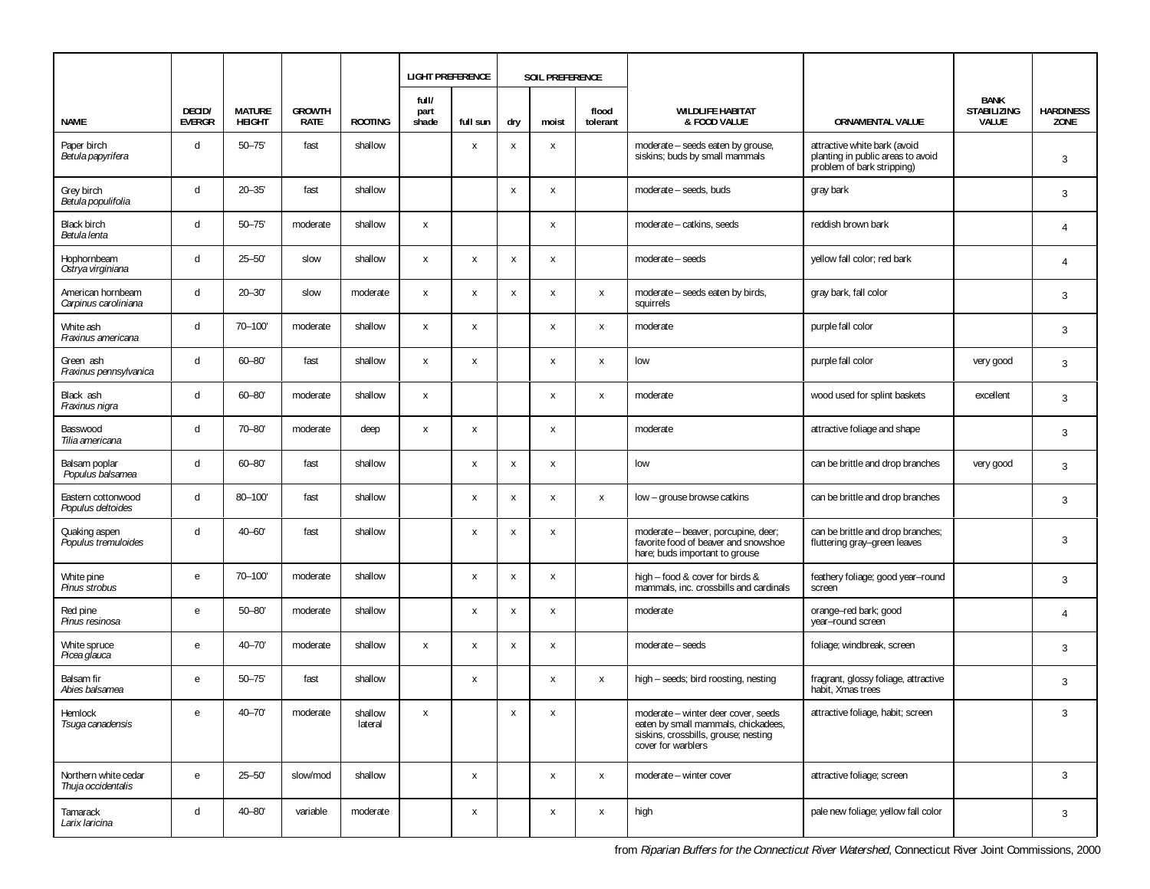|                                            |                         |                                |                       |                    | <b>LIGHT PREFERENCE</b> |              |                           | SOIL PREFERENCE           |                           |                                                                                                                                          |                                                                                                 |                                                   |                          |
|--------------------------------------------|-------------------------|--------------------------------|-----------------------|--------------------|-------------------------|--------------|---------------------------|---------------------------|---------------------------|------------------------------------------------------------------------------------------------------------------------------------------|-------------------------------------------------------------------------------------------------|---------------------------------------------------|--------------------------|
| NAME                                       | DECID/<br><b>EVERGR</b> | <b>MATURE</b><br><b>HEIGHT</b> | <b>GROWTH</b><br>RATE | <b>ROOTING</b>     | full/<br>part<br>shade  | full sun     | dry                       | moist                     | flood<br>tolerant         | <b>WILDLIFE HABITAT</b><br>& FOOD VALUE                                                                                                  | <b>ORNAMENTAL VALUE</b>                                                                         | <b>BANK</b><br><b>STABILIZING</b><br><b>VALUE</b> | <b>HARDINESS</b><br>ZONE |
| Paper birch<br>Betula papyrifera           | d                       | $50 - 75'$                     | fast                  | shallow            |                         | X            | X                         | $\boldsymbol{\mathsf{X}}$ |                           | moderate - seeds eaten by grouse,<br>siskins; buds by small mammals                                                                      | attractive white bark (avoid<br>planting in public areas to avoid<br>problem of bark stripping) |                                                   | $\mathbf{3}$             |
| Grey birch<br>Betula populifolia           | d                       | $20 - 35'$                     | fast                  | shallow            |                         |              | $\mathsf{X}$              | $\boldsymbol{\mathsf{x}}$ |                           | moderate - seeds, buds                                                                                                                   | gray bark                                                                                       |                                                   | 3                        |
| <b>Black birch</b><br>Betula lenta         | d                       | $50 - 75'$                     | moderate              | shallow            | X                       |              |                           | $\boldsymbol{\mathsf{X}}$ |                           | moderate - catkins, seeds                                                                                                                | reddish brown bark                                                                              |                                                   | $\overline{4}$           |
| Hophornbeam<br>Ostrya virginiana           | d                       | $25 - 50'$                     | slow                  | shallow            | X                       | X            | X                         | $\boldsymbol{\mathsf{X}}$ |                           | moderate - seeds                                                                                                                         | yellow fall color; red bark                                                                     |                                                   | $\overline{4}$           |
| American hornbeam<br>Carpinus caroliniana  | d                       | $20 - 30'$                     | slow                  | moderate           | X                       | $\pmb{\chi}$ | Χ                         | $\boldsymbol{\mathsf{X}}$ | $\mathsf{X}$              | moderate - seeds eaten by birds,<br>squirrels                                                                                            | gray bark, fall color                                                                           |                                                   | 3                        |
| White ash<br>Fraxinus americana            | d                       | 70-100'                        | moderate              | shallow            | $\pmb{\chi}$            | X            |                           | X                         | $\pmb{\chi}$              | moderate                                                                                                                                 | purple fall color                                                                               |                                                   | 3                        |
| Green ash<br>Fraxinus pennsylvanica        | d                       | $60 - 80'$                     | fast                  | shallow            | X                       | X            |                           | $\boldsymbol{\mathsf{x}}$ | $\boldsymbol{\mathsf{x}}$ | low                                                                                                                                      | purple fall color                                                                               | very good                                         | 3                        |
| Black ash<br>Fraxinus nigra                | d                       | $60 - 80'$                     | moderate              | shallow            | X                       |              |                           | $\boldsymbol{\mathsf{x}}$ | $\pmb{\chi}$              | moderate                                                                                                                                 | wood used for splint baskets                                                                    | excellent                                         | $\overline{3}$           |
| Basswood<br>Tilia americana                | d                       | $70 - 80'$                     | moderate              | deep               | X                       | X            |                           | X                         |                           | moderate                                                                                                                                 | attractive foliage and shape                                                                    |                                                   | 3                        |
| Balsam poplar<br>Populus balsamea          | d                       | $60 - 80'$                     | fast                  | shallow            |                         | X            | X                         | $\mathsf{x}$              |                           | low                                                                                                                                      | can be brittle and drop branches                                                                | very good                                         | 3                        |
| Eastern cottonwood<br>Populus deltoides    | d                       | 80-100'                        | fast                  | shallow            |                         | $\pmb{\chi}$ | X                         | $\boldsymbol{\mathsf{X}}$ | $\mathsf{X}$              | low - grouse browse catkins                                                                                                              | can be brittle and drop branches                                                                |                                                   | 3                        |
| Quaking aspen<br>Populus tremuloides       | d                       | $40 - 60'$                     | fast                  | shallow            |                         | X            | X                         | $\boldsymbol{\mathsf{X}}$ |                           | moderate - beaver, porcupine, deer;<br>favorite food of beaver and snowshoe<br>hare; buds important to grouse                            | can be brittle and drop branches;<br>fluttering gray-green leaves                               |                                                   | 3                        |
| White pine<br>Pinus strobus                | $\mathbf{e}$            | 70-100'                        | moderate              | shallow            |                         | $\pmb{\chi}$ | X                         | X                         |                           | high - food & cover for birds &<br>mammals, inc. crossbills and cardinals                                                                | feathery foliage; good year-round<br>screen                                                     |                                                   | 3                        |
| Red pine<br>Pinus resinosa                 | e                       | $50 - 80'$                     | moderate              | shallow            |                         | $\pmb{\chi}$ | X                         | X                         |                           | moderate                                                                                                                                 | orange-red bark; good<br>year-round screen                                                      |                                                   | $\overline{4}$           |
| White spruce<br>Picea glauca               | e                       | $40 - 70'$                     | moderate              | shallow            | X                       | $\pmb{\chi}$ | $\boldsymbol{\mathsf{x}}$ | $\boldsymbol{\mathsf{X}}$ |                           | moderate - seeds                                                                                                                         | foliage; windbreak, screen                                                                      |                                                   | 3                        |
| Balsam fir<br>Abies balsamea               | e                       | $50 - 75'$                     | fast                  | shallow            |                         | X            |                           | X                         | $\mathsf{X}$              | high - seeds; bird roosting, nesting                                                                                                     | fragrant, glossy foliage, attractive<br>habit. Xmas trees                                       |                                                   | 3                        |
| Hemlock<br>Tsuga canadensis                | e                       | $40 - 70'$                     | moderate              | shallow<br>lateral | X                       |              | X                         | $\boldsymbol{\mathsf{X}}$ |                           | moderate - winter deer cover, seeds<br>eaten by small mammals, chickadees,<br>siskins, crossbills, grouse; nesting<br>cover for warblers | attractive foliage, habit; screen                                                               |                                                   | 3                        |
| Northern white cedar<br>Thuja occidentalis | e                       | $25 - 50'$                     | slow/mod              | shallow            |                         | X            |                           | X                         | X                         | moderate - winter cover                                                                                                                  | attractive foliage; screen                                                                      |                                                   | 3                        |
| Tamarack<br>Larix laricina                 | d                       | $40 - 80'$                     | variable              | moderate           |                         | X            |                           | X                         | $\mathsf{X}$              | high                                                                                                                                     | pale new foliage; yellow fall color                                                             |                                                   | $\mathbf{3}$             |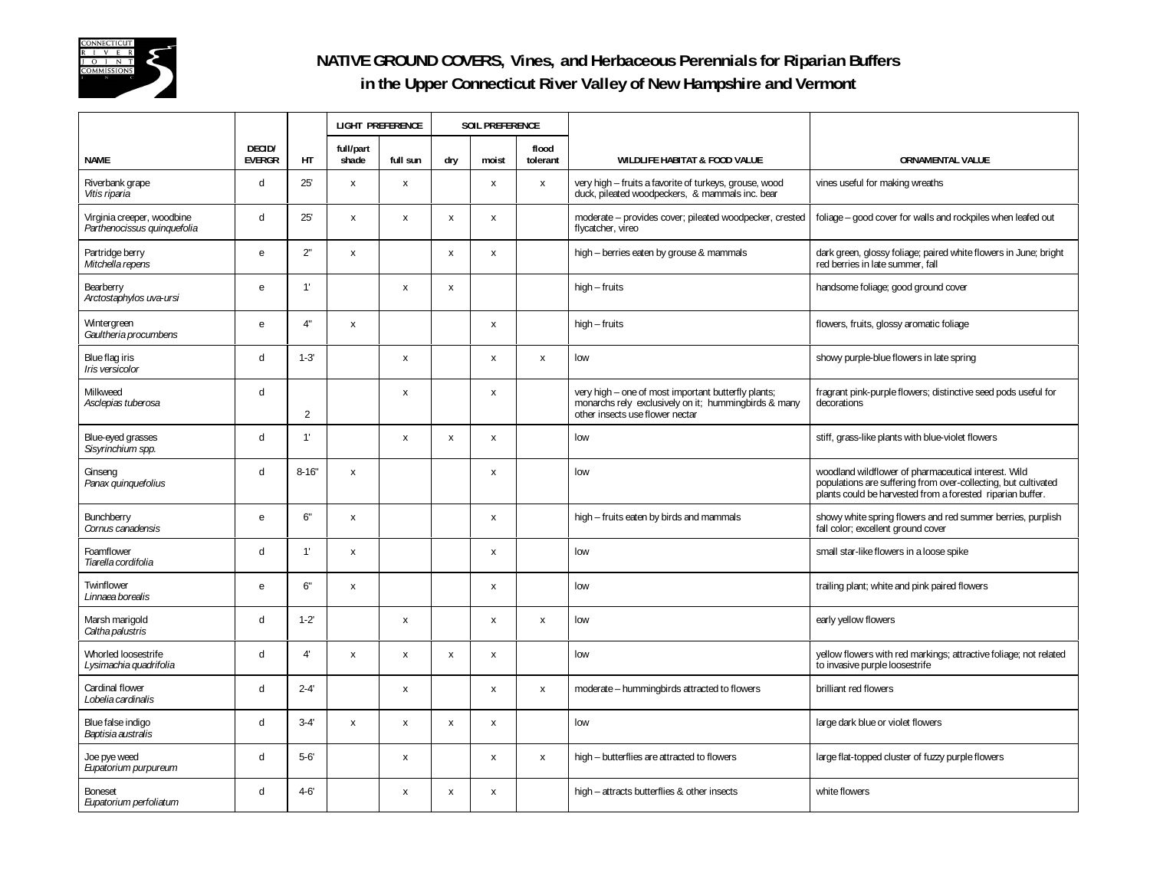

## **NATIVE GROUND COVERS, Vines, and Herbaceous Perennials for Riparian Buffers in the Upper Connecticut River Valley of New Hampshire and Vermont**

|                                                           |                         |                | LIGHT PREFERENCE          |                           | <b>SOIL PREFERENCE</b> |       |                   |                                                                                                                                                |                                                                                                                                                                                      |
|-----------------------------------------------------------|-------------------------|----------------|---------------------------|---------------------------|------------------------|-------|-------------------|------------------------------------------------------------------------------------------------------------------------------------------------|--------------------------------------------------------------------------------------------------------------------------------------------------------------------------------------|
| <b>NAME</b>                                               | DECID/<br><b>EVERGR</b> | HT             | full/part<br>shade        | full sun                  | dry                    | moist | flood<br>tolerant | <b>WILDLIFE HABITAT &amp; FOOD VALUE</b>                                                                                                       | <b>ORNAMENTAL VALUE</b>                                                                                                                                                              |
| Riverbank grape<br>Vitis riparia                          | d                       | 25'            | X                         | $\pmb{\times}$            |                        | X     | $\pmb{\times}$    | very high - fruits a favorite of turkeys, grouse, wood<br>duck, pileated woodpeckers, & mammals inc. bear                                      | vines useful for making wreaths                                                                                                                                                      |
| Virginia creeper, woodbine<br>Parthenocissus quinquefolia | d                       | 25'            | x                         | $\pmb{\chi}$              | X                      | X     |                   | moderate - provides cover; pileated woodpecker, crested<br>flycatcher, vireo                                                                   | foliage - good cover for walls and rockpiles when leafed out                                                                                                                         |
| Partridge berry<br>Mitchella repens                       | e                       | 2"             | X                         |                           | X                      | X     |                   | high - berries eaten by grouse & mammals                                                                                                       | dark green, glossy foliage; paired white flowers in June; bright<br>red berries in late summer. fall                                                                                 |
| Bearberry<br>Arctostaphylos uva-ursi                      | e                       | 1'             |                           | X                         | X                      |       |                   | $high$ – fruits                                                                                                                                | handsome foliage; good ground cover                                                                                                                                                  |
| Wintergreen<br>Gaultheria procumbens                      | e                       | 4"             | X                         |                           |                        | X     |                   | $high$ – fruits                                                                                                                                | flowers, fruits, glossy aromatic foliage                                                                                                                                             |
| Blue flag iris<br>Iris versicolor                         | d                       | $1 - 3'$       |                           | $\pmb{\chi}$              |                        | X     | $\pmb{\chi}$      | low                                                                                                                                            | showy purple-blue flowers in late spring                                                                                                                                             |
| Milkweed<br>Asclepias tuberosa                            | d                       | $\overline{2}$ |                           | $\boldsymbol{\mathsf{x}}$ |                        | X     |                   | very high - one of most important butterfly plants;<br>monarchs rely exclusively on it; hummingbirds & many<br>other insects use flower nectar | fragrant pink-purple flowers; distinctive seed pods useful for<br>decorations                                                                                                        |
| Blue-eyed grasses<br>Sisyrinchium spp.                    | d                       | 1'             |                           | $\pmb{\times}$            | $\mathsf{X}$           | X     |                   | low                                                                                                                                            | stiff, grass-like plants with blue-violet flowers                                                                                                                                    |
| Ginseng<br>Panax quinquefolius                            | $\mathbf d$             | $8 - 16"$      | $\boldsymbol{\mathsf{X}}$ |                           |                        | X     |                   | low                                                                                                                                            | woodland wildflower of pharmaceutical interest. Wild<br>populations are suffering from over-collecting, but cultivated<br>plants could be harvested from a forested riparian buffer. |
| Bunchberry<br>Cornus canadensis                           | e                       | 6"             | x                         |                           |                        | X     |                   | high - fruits eaten by birds and mammals                                                                                                       | showy white spring flowers and red summer berries, purplish<br>fall color; excellent ground cover                                                                                    |
| Foamflower<br>Tiarella cordifolia                         | d                       | 1'             | $\boldsymbol{\mathsf{x}}$ |                           |                        | X     |                   | low                                                                                                                                            | small star-like flowers in a loose spike                                                                                                                                             |
| Twinflower<br>Linnaea borealis                            | e                       | 6"             | X                         |                           |                        | X     |                   | low                                                                                                                                            | trailing plant; white and pink paired flowers                                                                                                                                        |
| Marsh marigold<br>Caltha palustris                        | d                       | $1 - 2'$       |                           | X                         |                        | X     | $\pmb{\chi}$      | low                                                                                                                                            | early yellow flowers                                                                                                                                                                 |
| Whorled loosestrife<br>Lysimachia quadrifolia             | d                       | 4'             | X                         | $\pmb{\chi}$              | X                      | X     |                   | low                                                                                                                                            | yellow flowers with red markings; attractive foliage; not related<br>to invasive purple loosestrife                                                                                  |
| Cardinal flower<br>Lobelia cardinalis                     | d                       | $2 - 4'$       |                           | $\pmb{\chi}$              |                        | X     | $\pmb{\chi}$      | moderate - hummingbirds attracted to flowers                                                                                                   | brilliant red flowers                                                                                                                                                                |
| Blue false indigo<br>Baptisia australis                   | d                       | $3 - 4'$       | X                         | $\pmb{\chi}$              | X                      | X     |                   | low                                                                                                                                            | large dark blue or violet flowers                                                                                                                                                    |
| Joe pye weed<br>Eupatorium purpureum                      | d                       | $5 - 6'$       |                           | $\mathsf{X}$              |                        | X     | $\pmb{\chi}$      | high - butterflies are attracted to flowers                                                                                                    | large flat-topped cluster of fuzzy purple flowers                                                                                                                                    |
| Boneset<br>Eupatorium perfoliatum                         | d                       | $4 - 6'$       |                           | $\pmb{\chi}$              | X                      | X     |                   | high - attracts butterflies & other insects                                                                                                    | white flowers                                                                                                                                                                        |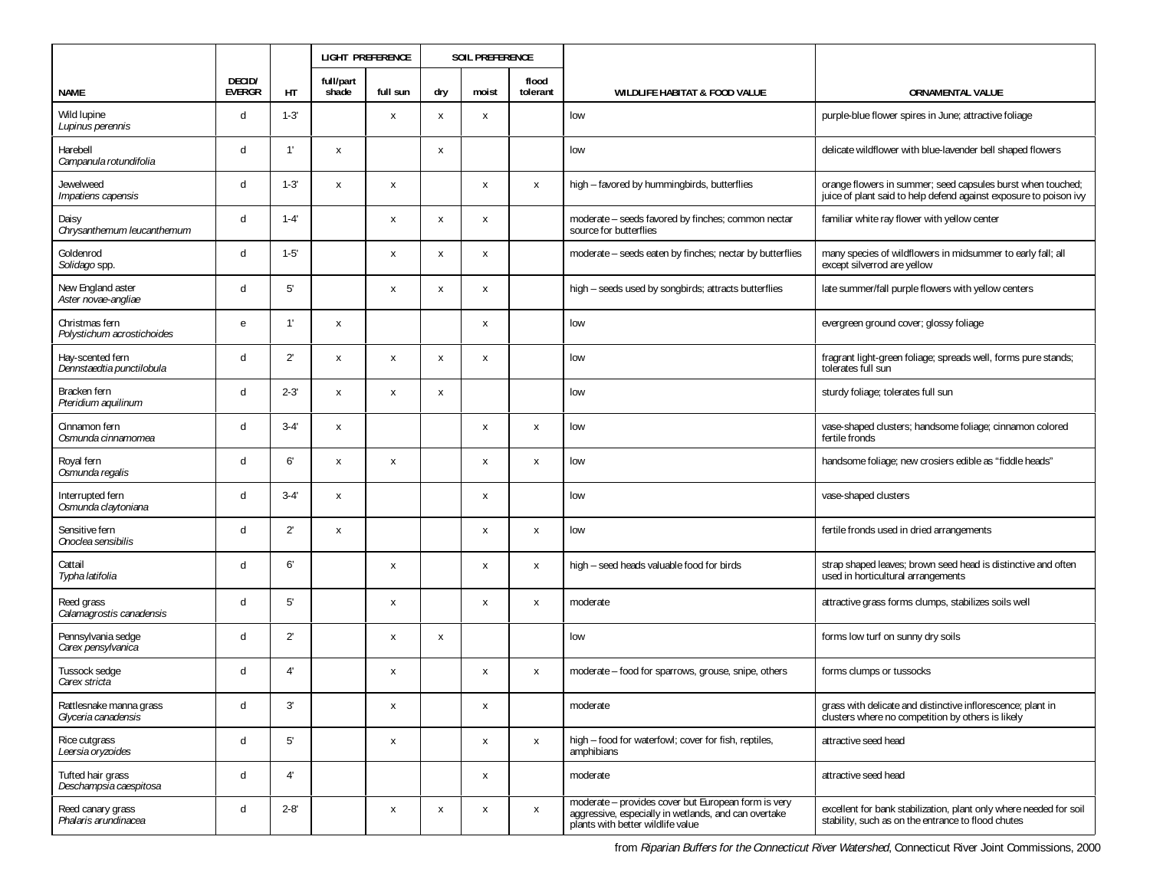|                                                |                         |              |                    | <b>LIGHT PREFERENCE</b><br><b>SOIL PREFERENCE</b> |     |       |                   |                                                                                                                                                  |                                                                                                                                  |
|------------------------------------------------|-------------------------|--------------|--------------------|---------------------------------------------------|-----|-------|-------------------|--------------------------------------------------------------------------------------------------------------------------------------------------|----------------------------------------------------------------------------------------------------------------------------------|
| <b>NAME</b>                                    | DECID/<br><b>EVERGR</b> | HT           | full/part<br>shade | full sun                                          | dry | moist | flood<br>tolerant | WILDLIFE HABITAT & FOOD VALUE                                                                                                                    | <b>ORNAMENTAL VALUE</b>                                                                                                          |
| Wild lupine<br>Lupinus perennis                | d                       | $1 - 3'$     |                    | $\mathsf{x}$                                      | X   | X     |                   | low                                                                                                                                              | purple-blue flower spires in June; attractive foliage                                                                            |
| Harebell<br>Campanula rotundifolia             | d                       | 1'           | Х                  |                                                   | X   |       |                   | low                                                                                                                                              | delicate wildflower with blue-lavender bell shaped flowers                                                                       |
| Jewelweed<br>Impatiens capensis                | d                       | $1 - 3'$     | X                  | Х                                                 |     | X     | $\pmb{\chi}$      | high - favored by hummingbirds, butterflies                                                                                                      | orange flowers in summer; seed capsules burst when touched;<br>juice of plant said to help defend against exposure to poison ivy |
| Daisy<br>Chrysanthemum leucanthemum            | d                       | $1 - 4'$     |                    | $\pmb{\chi}$                                      | X   | X     |                   | moderate - seeds favored by finches; common nectar<br>source for butterflies                                                                     | familiar white ray flower with yellow center                                                                                     |
| Goldenrod<br>Solidago spp.                     | d                       | $1 - 5'$     |                    | X                                                 | X   | X     |                   | moderate – seeds eaten by finches; nectar by butterflies                                                                                         | many species of wildflowers in midsummer to early fall; all<br>except silverrod are yellow                                       |
| New England aster<br>Aster novae-angliae       | d                       | 5'           |                    | X                                                 | x   | X     |                   | high - seeds used by songbirds; attracts butterflies                                                                                             | late summer/fall purple flowers with yellow centers                                                                              |
| Christmas fern<br>Polystichum acrostichoides   | e                       | 1'           | Х                  |                                                   |     | X     |                   | low                                                                                                                                              | evergreen ground cover; glossy foliage                                                                                           |
| Hay-scented fern<br>Dennstaedtia punctilobula  | d                       | 2'           | Х                  | $\pmb{\chi}$                                      | X   | X     |                   | low                                                                                                                                              | fragrant light-green foliage; spreads well, forms pure stands;<br>tolerates full sun                                             |
| Bracken fern<br>Pteridium aquilinum            | d                       | $2 - 3'$     | X                  | Х                                                 | X   |       |                   | low                                                                                                                                              | sturdy foliage; tolerates full sun                                                                                               |
| Cinnamon fern<br>Osmunda cinnamomea            | d                       | $3 - 4'$     | X                  |                                                   |     | x     | X                 | low                                                                                                                                              | vase-shaped clusters; handsome foliage; cinnamon colored<br>fertile fronds                                                       |
| Royal fern<br>Osmunda regalis                  | d                       | 6'           | X                  | X                                                 |     | X     | X                 | low                                                                                                                                              | handsome foliage; new crosiers edible as "fiddle heads"                                                                          |
| Interrupted fern<br>Osmunda claytoniana        | d                       | $3 - 4'$     | X                  |                                                   |     | X     |                   | low                                                                                                                                              | vase-shaped clusters                                                                                                             |
| Sensitive fern<br>Onoclea sensibilis           | d                       | $2^{\prime}$ | X                  |                                                   |     | X     | X                 | low                                                                                                                                              | fertile fronds used in dried arrangements                                                                                        |
| Cattail<br>Typha latifolia                     | d                       | 6'           |                    | $\pmb{\chi}$                                      |     | X     | $\pmb{\chi}$      | high - seed heads valuable food for birds                                                                                                        | strap shaped leaves; brown seed head is distinctive and often<br>used in horticultural arrangements                              |
| Reed grass<br>Calamagrostis canadensis         | d                       | 5'           |                    | X                                                 |     | X     | X                 | moderate                                                                                                                                         | attractive grass forms clumps, stabilizes soils well                                                                             |
| Pennsylvania sedge<br>Carex pensylvanica       | d                       | $2^{\prime}$ |                    | X                                                 | x   |       |                   | low                                                                                                                                              | forms low turf on sunny dry soils                                                                                                |
| Tussock sedge<br>Carex stricta                 | d                       | 4'           |                    | X                                                 |     | X     | X                 | moderate - food for sparrows, grouse, snipe, others                                                                                              | forms clumps or tussocks                                                                                                         |
| Rattlesnake manna grass<br>Glyceria canadensis | d                       | 3'           |                    | X                                                 |     | X     |                   | moderate                                                                                                                                         | grass with delicate and distinctive inflorescence; plant in<br>clusters where no competition by others is likely                 |
| Rice cutgrass<br>Leersia oryzoides             | d                       | $5'$         |                    | X                                                 |     | X     | $\mathsf{x}$      | high - food for waterfowl; cover for fish, reptiles,<br>amphibians                                                                               | attractive seed head                                                                                                             |
| Tufted hair grass<br>Deschampsia caespitosa    | d                       | 4'           |                    |                                                   |     | X     |                   | moderate                                                                                                                                         | attractive seed head                                                                                                             |
| Reed canary grass<br>Phalaris arundinacea      | d                       | $2 - 8'$     |                    | X                                                 | х   | X     | X                 | moderate - provides cover but European form is very<br>aggressive, especially in wetlands, and can overtake<br>plants with better wildlife value | excellent for bank stabilization, plant only where needed for soil<br>stability, such as on the entrance to flood chutes         |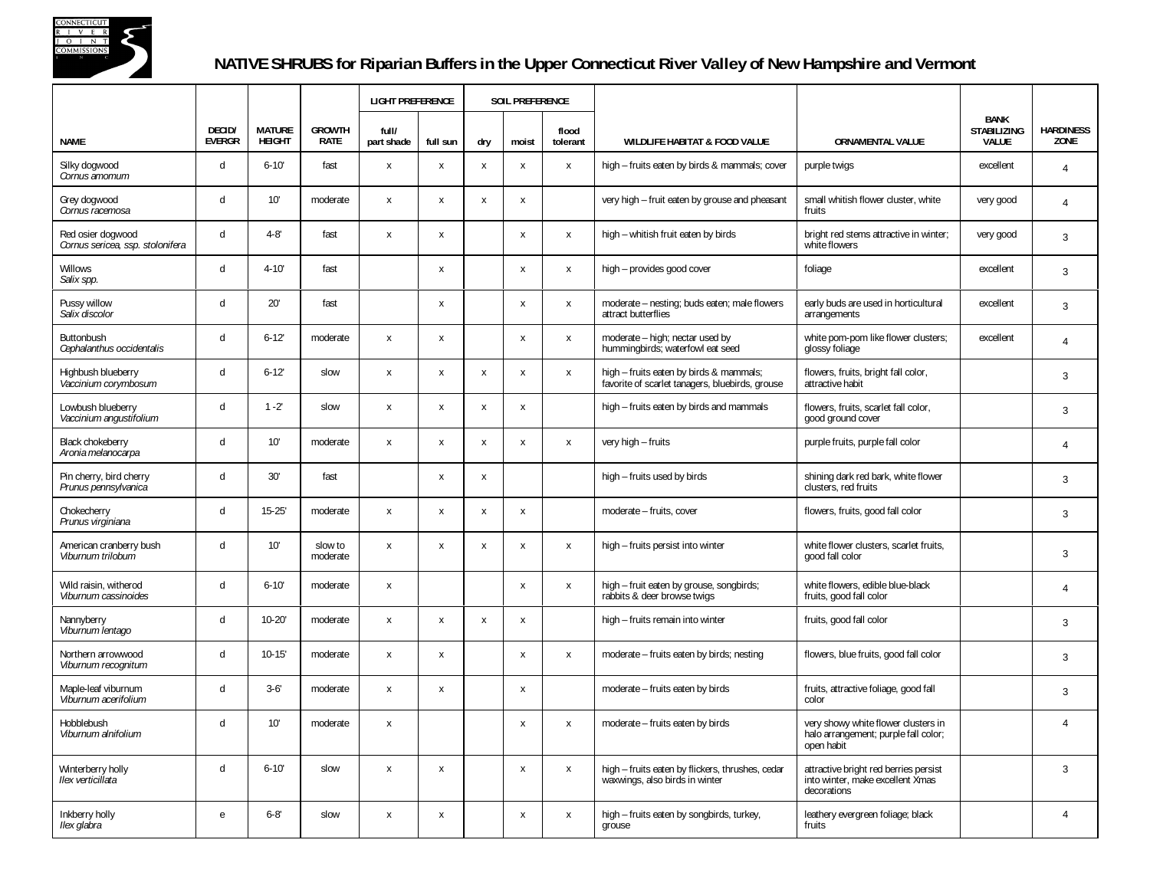

## **NATIVE SHRUBS for Riparian Buffers in the Upper Connecticut River Valley of New Hampshire and Vermont**

|                                                       |                         |                                |                              | <b>LIGHT PREFERENCE</b> |                           |                           | <b>SOIL PREFERENCE</b>    |                           |                                                                                            |                                                                                           |                                                   |                          |
|-------------------------------------------------------|-------------------------|--------------------------------|------------------------------|-------------------------|---------------------------|---------------------------|---------------------------|---------------------------|--------------------------------------------------------------------------------------------|-------------------------------------------------------------------------------------------|---------------------------------------------------|--------------------------|
| <b>NAME</b>                                           | DECID/<br><b>EVERGR</b> | <b>MATURE</b><br><b>HEIGHT</b> | <b>GROWTH</b><br><b>RATE</b> | full/<br>part shade     | full sun                  | dry                       | moist                     | flood<br>tolerant         | <b>WILDLIFE HABITAT &amp; FOOD VALUE</b>                                                   | <b>ORNAMENTAL VALUE</b>                                                                   | <b>BANK</b><br><b>STABILIZING</b><br><b>VALUE</b> | <b>HARDINESS</b><br>ZONE |
| Silky dogwood<br>Cornus amomum                        | $\mathsf{d}$            | $6 - 10'$                      | fast                         | X                       | x                         | $\boldsymbol{\mathsf{x}}$ | $\boldsymbol{\mathsf{x}}$ | $\pmb{\chi}$              | high - fruits eaten by birds & mammals; cover                                              | purple twigs                                                                              | excellent                                         | $\overline{4}$           |
| Grey dogwood<br>Cornus racemosa                       | d                       | 10'                            | moderate                     | X                       | $\boldsymbol{\mathsf{x}}$ | X                         | $\pmb{\chi}$              |                           | very high - fruit eaten by grouse and pheasant                                             | small whitish flower cluster, white<br>fruits                                             | very good                                         | $\overline{4}$           |
| Red osier dogwood<br>Cornus sericea, ssp. stolonifera | $\mathsf{d}$            | $4 - 8'$                       | fast                         | $\pmb{\chi}$            | X                         |                           | X                         | X                         | high - whitish fruit eaten by birds                                                        | bright red stems attractive in winter;<br>white flowers                                   | very good                                         | 3                        |
| <b>Willows</b><br>Salix spp.                          | d                       | $4 - 10'$                      | fast                         |                         | X                         |                           | $\boldsymbol{\mathsf{x}}$ | X                         | high - provides good cover                                                                 | foliage                                                                                   | excellent                                         | $\mathbf{3}$             |
| Pussy willow<br>Salix discolor                        | $\mathsf{d}$            | 20'                            | fast                         |                         | X                         |                           | $\boldsymbol{\mathsf{x}}$ | X                         | moderate - nesting; buds eaten; male flowers<br>attract butterflies                        | early buds are used in horticultural<br>arrangements                                      | excellent                                         | $\overline{3}$           |
| Buttonbush<br>Cephalanthus occidentalis               | d                       | $6 - 12'$                      | moderate                     | X                       | X                         |                           | X                         | X                         | moderate - high; nectar used by<br>hummingbirds; waterfowl eat seed                        | white pom-pom like flower clusters;<br>glossy foliage                                     | excellent                                         | $\overline{4}$           |
| Highbush blueberry<br>Vaccinium corymbosum            | $\mathsf{d}$            | $6 - 12'$                      | slow                         | $\mathsf{x}$            | X                         | $\boldsymbol{\mathsf{x}}$ | $\boldsymbol{\mathsf{x}}$ | X                         | high - fruits eaten by birds & mammals;<br>favorite of scarlet tanagers, bluebirds, grouse | flowers, fruits, bright fall color,<br>attractive habit                                   |                                                   | 3                        |
| Lowbush blueberry<br>Vaccinium angustifolium          | d                       | $1 - 2'$                       | slow                         | X                       | X                         | $\mathbf{x}$              | $\boldsymbol{\mathsf{x}}$ |                           | high - fruits eaten by birds and mammals                                                   | flowers, fruits, scarlet fall color,<br>good ground cover                                 |                                                   | 3                        |
| <b>Black chokeberry</b><br>Aronia melanocarpa         | d                       | 10'                            | moderate                     | $\mathsf{x}$            | X                         | $\boldsymbol{\mathsf{x}}$ | $\boldsymbol{\mathsf{x}}$ | X                         | very high - fruits                                                                         | purple fruits, purple fall color                                                          |                                                   | $\overline{4}$           |
| Pin cherry, bird cherry<br>Prunus pennsylvanica       | d                       | 30'                            | fast                         |                         | $\mathsf{x}$              | X                         |                           |                           | high - fruits used by birds                                                                | shining dark red bark, white flower<br>clusters, red fruits                               |                                                   | 3                        |
| Chokecherry<br>Prunus virginiana                      | d                       | $15 - 25'$                     | moderate                     | X                       | $\boldsymbol{\mathsf{x}}$ | $\boldsymbol{\mathsf{x}}$ | $\boldsymbol{\mathsf{x}}$ |                           | moderate - fruits, cover                                                                   | flowers, fruits, good fall color                                                          |                                                   | 3                        |
| American cranberry bush<br>Viburnum trilobum          | d                       | 10'                            | slow to<br>moderate          | X                       | X                         | X                         | $\boldsymbol{\mathsf{x}}$ | X                         | high - fruits persist into winter                                                          | white flower clusters, scarlet fruits,<br>good fall color                                 |                                                   | 3                        |
| Wild raisin, witherod<br>Viburnum cassinoides         | $\sf d$                 | $6 - 10'$                      | moderate                     | X                       |                           |                           | $\boldsymbol{\mathsf{x}}$ | X                         | high - fruit eaten by grouse, songbirds;<br>rabbits & deer browse twigs                    | white flowers, edible blue-black<br>fruits, good fall color                               |                                                   | $\overline{4}$           |
| Nannyberry<br>Viburnum lentago                        | $\mathsf{d}$            | $10 - 20'$                     | moderate                     | X                       | $\boldsymbol{\mathsf{x}}$ | $\mathsf{X}$              | $\pmb{\chi}$              |                           | high - fruits remain into winter                                                           | fruits, good fall color                                                                   |                                                   | $\overline{3}$           |
| Northern arrowwood<br>Viburnum recognitum             | $\mathsf{d}$            | $10 - 15'$                     | moderate                     | X                       | $\mathsf{x}$              |                           | $\boldsymbol{\mathsf{x}}$ | X                         | moderate - fruits eaten by birds; nesting                                                  | flowers, blue fruits, good fall color                                                     |                                                   | $\overline{3}$           |
| Maple-leaf viburnum<br>Viburnum acerifolium           | $\mathsf{d}$            | $3 - 6'$                       | moderate                     | X                       | X                         |                           | $\boldsymbol{\mathsf{x}}$ |                           | moderate - fruits eaten by birds                                                           | fruits, attractive foliage, good fall<br>color                                            |                                                   | 3                        |
| Hobblebush<br>Viburnum alnifolium                     | d                       | 10'                            | moderate                     | X                       |                           |                           | $\boldsymbol{\mathsf{x}}$ | X                         | moderate - fruits eaten by birds                                                           | very showy white flower clusters in<br>halo arrangement; purple fall color;<br>open habit |                                                   | $\overline{4}$           |
| Winterberry holly<br>Ilex verticillata                | $\mathsf{d}$            | $6 - 10'$                      | slow                         | X                       | X                         |                           | $\boldsymbol{\mathsf{x}}$ | $\boldsymbol{\mathsf{x}}$ | high - fruits eaten by flickers, thrushes, cedar<br>waxwings, also birds in winter         | attractive bright red berries persist<br>into winter, make excellent Xmas<br>decorations  |                                                   | $\overline{3}$           |
| Inkberry holly<br>Ilex glabra                         | $\mathbf{e}$            | $6 - 8'$                       | slow                         | X                       | X                         |                           | $\boldsymbol{\mathsf{x}}$ | $\pmb{\chi}$              | high - fruits eaten by songbirds, turkey,<br>grouse                                        | leathery evergreen foliage; black<br>fruits                                               |                                                   | $\overline{4}$           |